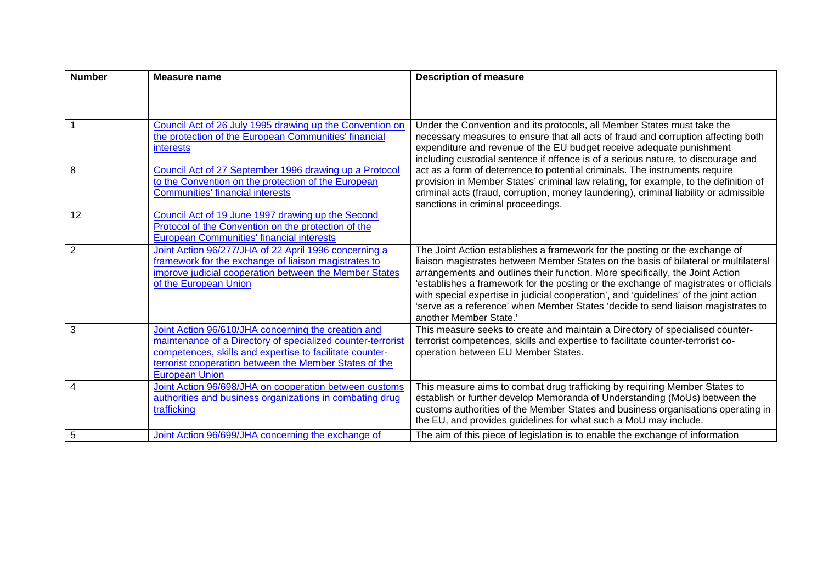| <b>Number</b>  | <b>Measure name</b>                                                                                                                                                                                                                                               | <b>Description of measure</b>                                                                                                                                                                                                                                                                                                                                                                                                                                                                                                                      |
|----------------|-------------------------------------------------------------------------------------------------------------------------------------------------------------------------------------------------------------------------------------------------------------------|----------------------------------------------------------------------------------------------------------------------------------------------------------------------------------------------------------------------------------------------------------------------------------------------------------------------------------------------------------------------------------------------------------------------------------------------------------------------------------------------------------------------------------------------------|
|                |                                                                                                                                                                                                                                                                   |                                                                                                                                                                                                                                                                                                                                                                                                                                                                                                                                                    |
|                | Council Act of 26 July 1995 drawing up the Convention on<br>the protection of the European Communities' financial<br>interests                                                                                                                                    | Under the Convention and its protocols, all Member States must take the<br>necessary measures to ensure that all acts of fraud and corruption affecting both<br>expenditure and revenue of the EU budget receive adequate punishment<br>including custodial sentence if offence is of a serious nature, to discourage and                                                                                                                                                                                                                          |
| 8              | Council Act of 27 September 1996 drawing up a Protocol<br>to the Convention on the protection of the European<br><b>Communities' financial interests</b>                                                                                                          | act as a form of deterrence to potential criminals. The instruments require<br>provision in Member States' criminal law relating, for example, to the definition of<br>criminal acts (fraud, corruption, money laundering), criminal liability or admissible<br>sanctions in criminal proceedings.                                                                                                                                                                                                                                                 |
| 12             | Council Act of 19 June 1997 drawing up the Second<br>Protocol of the Convention on the protection of the<br><b>European Communities' financial interests</b>                                                                                                      |                                                                                                                                                                                                                                                                                                                                                                                                                                                                                                                                                    |
| $\overline{2}$ | Joint Action 96/277/JHA of 22 April 1996 concerning a<br>framework for the exchange of liaison magistrates to<br>improve judicial cooperation between the Member States<br>of the European Union                                                                  | The Joint Action establishes a framework for the posting or the exchange of<br>liaison magistrates between Member States on the basis of bilateral or multilateral<br>arrangements and outlines their function. More specifically, the Joint Action<br>'establishes a framework for the posting or the exchange of magistrates or officials<br>with special expertise in judicial cooperation', and 'guidelines' of the joint action<br>'serve as a reference' when Member States 'decide to send liaison magistrates to<br>another Member State.' |
| 3              | Joint Action 96/610/JHA concerning the creation and<br>maintenance of a Directory of specialized counter-terrorist<br>competences, skills and expertise to facilitate counter-<br>terrorist cooperation between the Member States of the<br><b>European Union</b> | This measure seeks to create and maintain a Directory of specialised counter-<br>terrorist competences, skills and expertise to facilitate counter-terrorist co-<br>operation between EU Member States.                                                                                                                                                                                                                                                                                                                                            |
| 4              | Joint Action 96/698/JHA on cooperation between customs<br>authorities and business organizations in combating drug<br>trafficking                                                                                                                                 | This measure aims to combat drug trafficking by requiring Member States to<br>establish or further develop Memoranda of Understanding (MoUs) between the<br>customs authorities of the Member States and business organisations operating in<br>the EU, and provides guidelines for what such a MoU may include.                                                                                                                                                                                                                                   |
| $\overline{5}$ | Joint Action 96/699/JHA concerning the exchange of                                                                                                                                                                                                                | The aim of this piece of legislation is to enable the exchange of information                                                                                                                                                                                                                                                                                                                                                                                                                                                                      |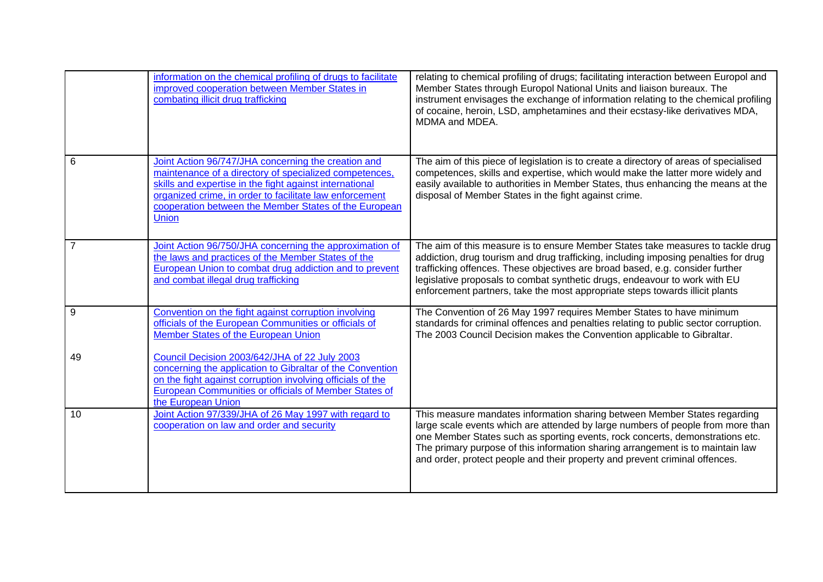|    | information on the chemical profiling of drugs to facilitate<br>improved cooperation between Member States in<br>combating illicit drug trafficking                                                                                                                                                   | relating to chemical profiling of drugs; facilitating interaction between Europol and<br>Member States through Europol National Units and liaison bureaux. The<br>instrument envisages the exchange of information relating to the chemical profiling<br>of cocaine, heroin, LSD, amphetamines and their ecstasy-like derivatives MDA,<br>MDMA and MDEA.                                                              |
|----|-------------------------------------------------------------------------------------------------------------------------------------------------------------------------------------------------------------------------------------------------------------------------------------------------------|-----------------------------------------------------------------------------------------------------------------------------------------------------------------------------------------------------------------------------------------------------------------------------------------------------------------------------------------------------------------------------------------------------------------------|
| 6  | Joint Action 96/747/JHA concerning the creation and<br>maintenance of a directory of specialized competences,<br>skills and expertise in the fight against international<br>organized crime, in order to facilitate law enforcement<br>cooperation between the Member States of the European<br>Union | The aim of this piece of legislation is to create a directory of areas of specialised<br>competences, skills and expertise, which would make the latter more widely and<br>easily available to authorities in Member States, thus enhancing the means at the<br>disposal of Member States in the fight against crime.                                                                                                 |
|    | Joint Action 96/750/JHA concerning the approximation of<br>the laws and practices of the Member States of the<br>European Union to combat drug addiction and to prevent<br>and combat illegal drug trafficking                                                                                        | The aim of this measure is to ensure Member States take measures to tackle drug<br>addiction, drug tourism and drug trafficking, including imposing penalties for drug<br>trafficking offences. These objectives are broad based, e.g. consider further<br>legislative proposals to combat synthetic drugs, endeavour to work with EU<br>enforcement partners, take the most appropriate steps towards illicit plants |
| 9  | Convention on the fight against corruption involving<br>officials of the European Communities or officials of<br>Member States of the European Union                                                                                                                                                  | The Convention of 26 May 1997 requires Member States to have minimum<br>standards for criminal offences and penalties relating to public sector corruption.<br>The 2003 Council Decision makes the Convention applicable to Gibraltar.                                                                                                                                                                                |
| 49 | Council Decision 2003/642/JHA of 22 July 2003<br>concerning the application to Gibraltar of the Convention<br>on the fight against corruption involving officials of the<br>European Communities or officials of Member States of<br>the European Union                                               |                                                                                                                                                                                                                                                                                                                                                                                                                       |
| 10 | Joint Action 97/339/JHA of 26 May 1997 with regard to<br>cooperation on law and order and security                                                                                                                                                                                                    | This measure mandates information sharing between Member States regarding<br>large scale events which are attended by large numbers of people from more than<br>one Member States such as sporting events, rock concerts, demonstrations etc.<br>The primary purpose of this information sharing arrangement is to maintain law<br>and order, protect people and their property and prevent criminal offences.        |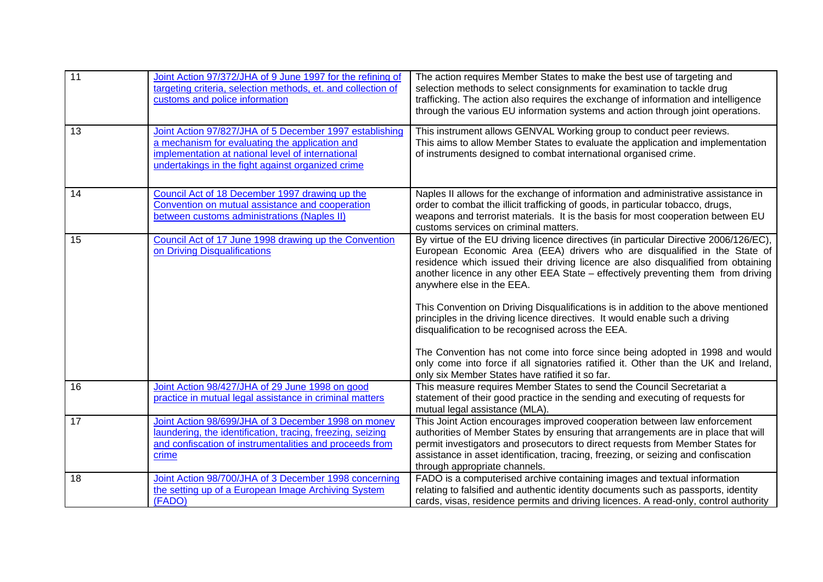| $\overline{11}$ | Joint Action 97/372/JHA of 9 June 1997 for the refining of<br>targeting criteria, selection methods, et. and collection of<br>customs and police information                                                        | The action requires Member States to make the best use of targeting and<br>selection methods to select consignments for examination to tackle drug<br>trafficking. The action also requires the exchange of information and intelligence<br>through the various EU information systems and action through joint operations.                                                                                                                                                                                                                                                                                                                                                                                                                                                                                                    |
|-----------------|---------------------------------------------------------------------------------------------------------------------------------------------------------------------------------------------------------------------|--------------------------------------------------------------------------------------------------------------------------------------------------------------------------------------------------------------------------------------------------------------------------------------------------------------------------------------------------------------------------------------------------------------------------------------------------------------------------------------------------------------------------------------------------------------------------------------------------------------------------------------------------------------------------------------------------------------------------------------------------------------------------------------------------------------------------------|
| 13              | Joint Action 97/827/JHA of 5 December 1997 establishing<br>a mechanism for evaluating the application and<br>implementation at national level of international<br>undertakings in the fight against organized crime | This instrument allows GENVAL Working group to conduct peer reviews.<br>This aims to allow Member States to evaluate the application and implementation<br>of instruments designed to combat international organised crime.                                                                                                                                                                                                                                                                                                                                                                                                                                                                                                                                                                                                    |
| 14              | Council Act of 18 December 1997 drawing up the<br>Convention on mutual assistance and cooperation<br>between customs administrations (Naples II)                                                                    | Naples II allows for the exchange of information and administrative assistance in<br>order to combat the illicit trafficking of goods, in particular tobacco, drugs,<br>weapons and terrorist materials. It is the basis for most cooperation between EU<br>customs services on criminal matters.                                                                                                                                                                                                                                                                                                                                                                                                                                                                                                                              |
| 15              | Council Act of 17 June 1998 drawing up the Convention<br>on Driving Disqualifications                                                                                                                               | By virtue of the EU driving licence directives (in particular Directive 2006/126/EC),<br>European Economic Area (EEA) drivers who are disqualified in the State of<br>residence which issued their driving licence are also disqualified from obtaining<br>another licence in any other EEA State - effectively preventing them from driving<br>anywhere else in the EEA.<br>This Convention on Driving Disqualifications is in addition to the above mentioned<br>principles in the driving licence directives. It would enable such a driving<br>disqualification to be recognised across the EEA.<br>The Convention has not come into force since being adopted in 1998 and would<br>only come into force if all signatories ratified it. Other than the UK and Ireland,<br>only six Member States have ratified it so far. |
| 16              | Joint Action 98/427/JHA of 29 June 1998 on good<br>practice in mutual legal assistance in criminal matters                                                                                                          | This measure requires Member States to send the Council Secretariat a<br>statement of their good practice in the sending and executing of requests for<br>mutual legal assistance (MLA).                                                                                                                                                                                                                                                                                                                                                                                                                                                                                                                                                                                                                                       |
| 17              | Joint Action 98/699/JHA of 3 December 1998 on money<br>laundering, the identification, tracing, freezing, seizing<br>and confiscation of instrumentalities and proceeds from<br>crime                               | This Joint Action encourages improved cooperation between law enforcement<br>authorities of Member States by ensuring that arrangements are in place that will<br>permit investigators and prosecutors to direct requests from Member States for<br>assistance in asset identification, tracing, freezing, or seizing and confiscation<br>through appropriate channels.                                                                                                                                                                                                                                                                                                                                                                                                                                                        |
| 18              | Joint Action 98/700/JHA of 3 December 1998 concerning<br>the setting up of a European Image Archiving System<br>(FADO)                                                                                              | FADO is a computerised archive containing images and textual information<br>relating to falsified and authentic identity documents such as passports, identity<br>cards, visas, residence permits and driving licences. A read-only, control authority                                                                                                                                                                                                                                                                                                                                                                                                                                                                                                                                                                         |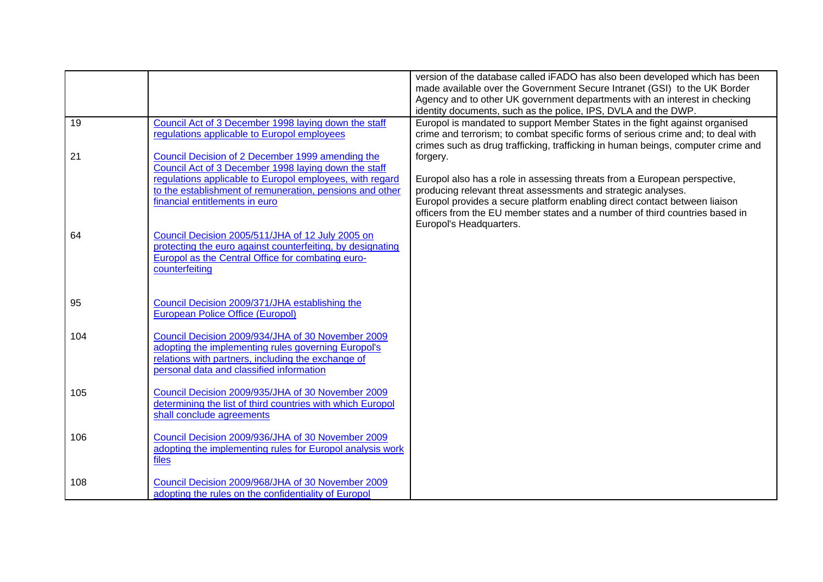|          |                                                                                                                                                                                                                | version of the database called iFADO has also been developed which has been<br>made available over the Government Secure Intranet (GSI) to the UK Border<br>Agency and to other UK government departments with an interest in checking<br>identity documents, such as the police, IPS, DVLA and the DWP.                           |
|----------|----------------------------------------------------------------------------------------------------------------------------------------------------------------------------------------------------------------|------------------------------------------------------------------------------------------------------------------------------------------------------------------------------------------------------------------------------------------------------------------------------------------------------------------------------------|
| 19<br>21 | Council Act of 3 December 1998 laying down the staff<br>regulations applicable to Europol employees<br>Council Decision of 2 December 1999 amending the                                                        | Europol is mandated to support Member States in the fight against organised<br>crime and terrorism; to combat specific forms of serious crime and; to deal with<br>crimes such as drug trafficking, trafficking in human beings, computer crime and<br>forgery.                                                                    |
|          | Council Act of 3 December 1998 laying down the staff<br>regulations applicable to Europol employees, with regard<br>to the establishment of remuneration, pensions and other<br>financial entitlements in euro | Europol also has a role in assessing threats from a European perspective,<br>producing relevant threat assessments and strategic analyses.<br>Europol provides a secure platform enabling direct contact between liaison<br>officers from the EU member states and a number of third countries based in<br>Europol's Headquarters. |
| 64       | Council Decision 2005/511/JHA of 12 July 2005 on<br>protecting the euro against counterfeiting, by designating<br>Europol as the Central Office for combating euro-<br>counterfeiting                          |                                                                                                                                                                                                                                                                                                                                    |
| 95       | Council Decision 2009/371/JHA establishing the<br><b>European Police Office (Europol)</b>                                                                                                                      |                                                                                                                                                                                                                                                                                                                                    |
| 104      | Council Decision 2009/934/JHA of 30 November 2009<br>adopting the implementing rules governing Europol's<br>relations with partners, including the exchange of<br>personal data and classified information     |                                                                                                                                                                                                                                                                                                                                    |
| 105      | Council Decision 2009/935/JHA of 30 November 2009<br>determining the list of third countries with which Europol<br>shall conclude agreements                                                                   |                                                                                                                                                                                                                                                                                                                                    |
| 106      | Council Decision 2009/936/JHA of 30 November 2009<br>adopting the implementing rules for Europol analysis work<br>files                                                                                        |                                                                                                                                                                                                                                                                                                                                    |
| 108      | Council Decision 2009/968/JHA of 30 November 2009<br>adopting the rules on the confidentiality of Europol                                                                                                      |                                                                                                                                                                                                                                                                                                                                    |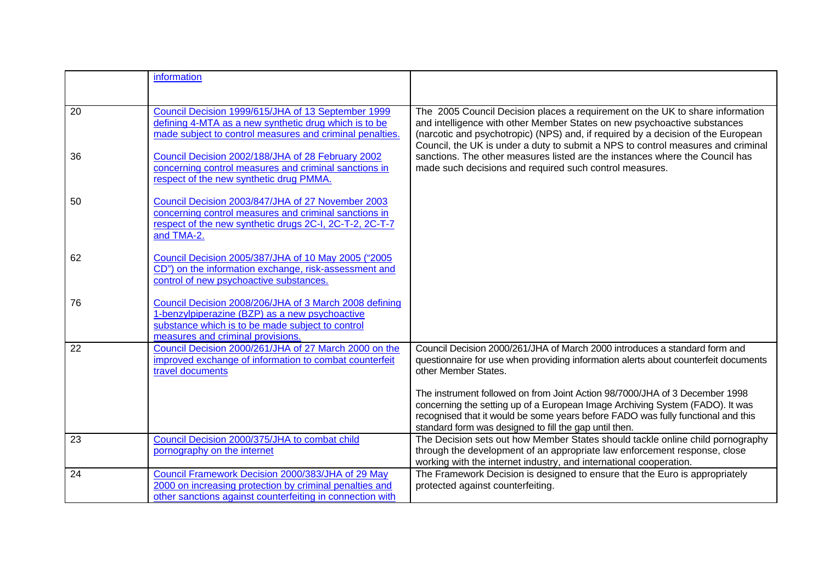|    | information                                                                                                                                                                                       |                                                                                                                                                                                                                                                                                                                                   |
|----|---------------------------------------------------------------------------------------------------------------------------------------------------------------------------------------------------|-----------------------------------------------------------------------------------------------------------------------------------------------------------------------------------------------------------------------------------------------------------------------------------------------------------------------------------|
|    |                                                                                                                                                                                                   |                                                                                                                                                                                                                                                                                                                                   |
| 20 | Council Decision 1999/615/JHA of 13 September 1999<br>defining 4-MTA as a new synthetic drug which is to be<br>made subject to control measures and criminal penalties.                           | The 2005 Council Decision places a requirement on the UK to share information<br>and intelligence with other Member States on new psychoactive substances<br>(narcotic and psychotropic) (NPS) and, if required by a decision of the European<br>Council, the UK is under a duty to submit a NPS to control measures and criminal |
| 36 | Council Decision 2002/188/JHA of 28 February 2002<br>concerning control measures and criminal sanctions in<br>respect of the new synthetic drug PMMA.                                             | sanctions. The other measures listed are the instances where the Council has<br>made such decisions and required such control measures.                                                                                                                                                                                           |
| 50 | Council Decision 2003/847/JHA of 27 November 2003<br>concerning control measures and criminal sanctions in<br>respect of the new synthetic drugs 2C-I, 2C-T-2, 2C-T-7<br>and TMA-2.               |                                                                                                                                                                                                                                                                                                                                   |
| 62 | Council Decision 2005/387/JHA of 10 May 2005 ("2005<br>CD") on the information exchange, risk-assessment and<br>control of new psychoactive substances.                                           |                                                                                                                                                                                                                                                                                                                                   |
| 76 | Council Decision 2008/206/JHA of 3 March 2008 defining<br>1-benzylpiperazine (BZP) as a new psychoactive<br>substance which is to be made subject to control<br>measures and criminal provisions. |                                                                                                                                                                                                                                                                                                                                   |
| 22 | Council Decision 2000/261/JHA of 27 March 2000 on the<br>improved exchange of information to combat counterfeit<br>travel documents                                                               | Council Decision 2000/261/JHA of March 2000 introduces a standard form and<br>questionnaire for use when providing information alerts about counterfeit documents<br>other Member States.                                                                                                                                         |
|    |                                                                                                                                                                                                   | The instrument followed on from Joint Action 98/7000/JHA of 3 December 1998<br>concerning the setting up of a European Image Archiving System (FADO). It was<br>recognised that it would be some years before FADO was fully functional and this<br>standard form was designed to fill the gap until then.                        |
| 23 | Council Decision 2000/375/JHA to combat child<br>pornography on the internet                                                                                                                      | The Decision sets out how Member States should tackle online child pornography<br>through the development of an appropriate law enforcement response, close<br>working with the internet industry, and international cooperation.                                                                                                 |
| 24 | Council Framework Decision 2000/383/JHA of 29 May<br>2000 on increasing protection by criminal penalties and<br>other sanctions against counterfeiting in connection with                         | The Framework Decision is designed to ensure that the Euro is appropriately<br>protected against counterfeiting.                                                                                                                                                                                                                  |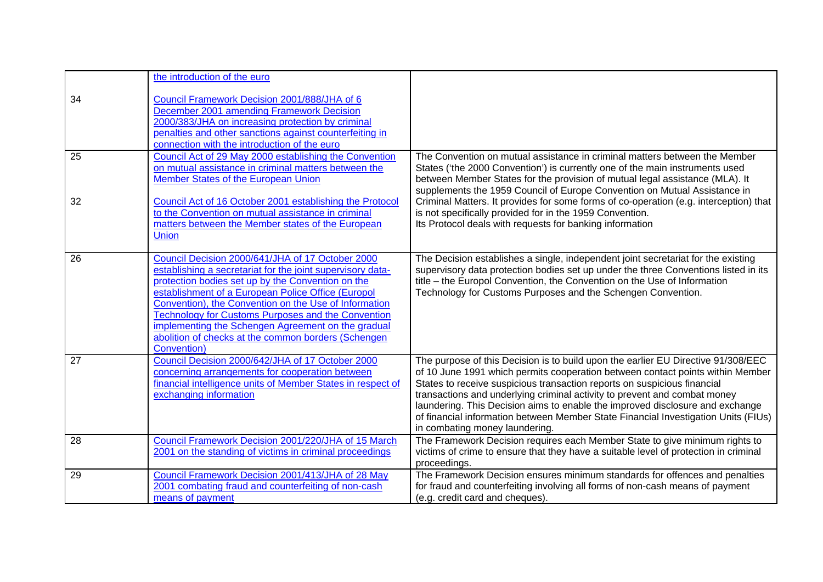|    | the introduction of the euro                                |                                                                                       |
|----|-------------------------------------------------------------|---------------------------------------------------------------------------------------|
|    |                                                             |                                                                                       |
| 34 | Council Framework Decision 2001/888/JHA of 6                |                                                                                       |
|    | December 2001 amending Framework Decision                   |                                                                                       |
|    | 2000/383/JHA on increasing protection by criminal           |                                                                                       |
|    | penalties and other sanctions against counterfeiting in     |                                                                                       |
|    | connection with the introduction of the euro                |                                                                                       |
| 25 | Council Act of 29 May 2000 establishing the Convention      | The Convention on mutual assistance in criminal matters between the Member            |
|    | on mutual assistance in criminal matters between the        | States ('the 2000 Convention') is currently one of the main instruments used          |
|    | Member States of the European Union                         | between Member States for the provision of mutual legal assistance (MLA). It          |
|    |                                                             | supplements the 1959 Council of Europe Convention on Mutual Assistance in             |
| 32 | Council Act of 16 October 2001 establishing the Protocol    | Criminal Matters. It provides for some forms of co-operation (e.g. interception) that |
|    | to the Convention on mutual assistance in criminal          | is not specifically provided for in the 1959 Convention.                              |
|    | matters between the Member states of the European           | Its Protocol deals with requests for banking information                              |
|    | <b>Union</b>                                                |                                                                                       |
|    |                                                             |                                                                                       |
| 26 | Council Decision 2000/641/JHA of 17 October 2000            | The Decision establishes a single, independent joint secretariat for the existing     |
|    | establishing a secretariat for the joint supervisory data-  | supervisory data protection bodies set up under the three Conventions listed in its   |
|    | protection bodies set up by the Convention on the           | title - the Europol Convention, the Convention on the Use of Information              |
|    | establishment of a European Police Office (Europol          | Technology for Customs Purposes and the Schengen Convention.                          |
|    | Convention), the Convention on the Use of Information       |                                                                                       |
|    | <b>Technology for Customs Purposes and the Convention</b>   |                                                                                       |
|    | implementing the Schengen Agreement on the gradual          |                                                                                       |
|    | abolition of checks at the common borders (Schengen         |                                                                                       |
|    | Convention)                                                 |                                                                                       |
| 27 | Council Decision 2000/642/JHA of 17 October 2000            | The purpose of this Decision is to build upon the earlier EU Directive 91/308/EEC     |
|    | concerning arrangements for cooperation between             | of 10 June 1991 which permits cooperation between contact points within Member        |
|    | financial intelligence units of Member States in respect of | States to receive suspicious transaction reports on suspicious financial              |
|    | exchanging information                                      | transactions and underlying criminal activity to prevent and combat money             |
|    |                                                             | laundering. This Decision aims to enable the improved disclosure and exchange         |
|    |                                                             | of financial information between Member State Financial Investigation Units (FIUs)    |
|    |                                                             | in combating money laundering.                                                        |
| 28 | Council Framework Decision 2001/220/JHA of 15 March         | The Framework Decision requires each Member State to give minimum rights to           |
|    | 2001 on the standing of victims in criminal proceedings     | victims of crime to ensure that they have a suitable level of protection in criminal  |
|    |                                                             | proceedings.                                                                          |
| 29 | Council Framework Decision 2001/413/JHA of 28 May           | The Framework Decision ensures minimum standards for offences and penalties           |
|    | 2001 combating fraud and counterfeiting of non-cash         | for fraud and counterfeiting involving all forms of non-cash means of payment         |
|    | means of payment                                            | (e.g. credit card and cheques).                                                       |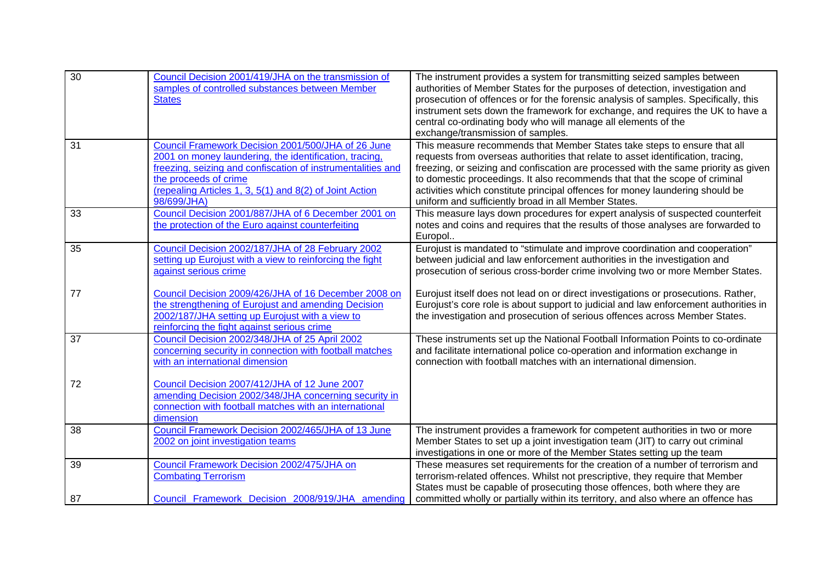| $\overline{30}$ | Council Decision 2001/419/JHA on the transmission of<br>samples of controlled substances between Member<br><b>States</b>                                                                                                                                                       | The instrument provides a system for transmitting seized samples between<br>authorities of Member States for the purposes of detection, investigation and<br>prosecution of offences or for the forensic analysis of samples. Specifically, this<br>instrument sets down the framework for exchange, and requires the UK to have a<br>central co-ordinating body who will manage all elements of the<br>exchange/transmission of samples.                                   |
|-----------------|--------------------------------------------------------------------------------------------------------------------------------------------------------------------------------------------------------------------------------------------------------------------------------|-----------------------------------------------------------------------------------------------------------------------------------------------------------------------------------------------------------------------------------------------------------------------------------------------------------------------------------------------------------------------------------------------------------------------------------------------------------------------------|
| 31              | Council Framework Decision 2001/500/JHA of 26 June<br>2001 on money laundering, the identification, tracing,<br>freezing, seizing and confiscation of instrumentalities and<br>the proceeds of crime<br>(repealing Articles 1, 3, 5(1) and 8(2) of Joint Action<br>98/699/JHA) | This measure recommends that Member States take steps to ensure that all<br>requests from overseas authorities that relate to asset identification, tracing,<br>freezing, or seizing and confiscation are processed with the same priority as given<br>to domestic proceedings. It also recommends that that the scope of criminal<br>activities which constitute principal offences for money laundering should be<br>uniform and sufficiently broad in all Member States. |
| 33              | Council Decision 2001/887/JHA of 6 December 2001 on<br>the protection of the Euro against counterfeiting                                                                                                                                                                       | This measure lays down procedures for expert analysis of suspected counterfeit<br>notes and coins and requires that the results of those analyses are forwarded to<br>Europol                                                                                                                                                                                                                                                                                               |
| 35              | Council Decision 2002/187/JHA of 28 February 2002<br>setting up Eurojust with a view to reinforcing the fight<br>against serious crime                                                                                                                                         | Eurojust is mandated to "stimulate and improve coordination and cooperation"<br>between judicial and law enforcement authorities in the investigation and<br>prosecution of serious cross-border crime involving two or more Member States.                                                                                                                                                                                                                                 |
| 77              | Council Decision 2009/426/JHA of 16 December 2008 on<br>the strengthening of Eurojust and amending Decision<br>2002/187/JHA setting up Eurojust with a view to<br>reinforcing the fight against serious crime                                                                  | Eurojust itself does not lead on or direct investigations or prosecutions. Rather,<br>Eurojust's core role is about support to judicial and law enforcement authorities in<br>the investigation and prosecution of serious offences across Member States.                                                                                                                                                                                                                   |
| 37              | Council Decision 2002/348/JHA of 25 April 2002<br>concerning security in connection with football matches<br>with an international dimension                                                                                                                                   | These instruments set up the National Football Information Points to co-ordinate<br>and facilitate international police co-operation and information exchange in<br>connection with football matches with an international dimension.                                                                                                                                                                                                                                       |
| 72              | Council Decision 2007/412/JHA of 12 June 2007<br>amending Decision 2002/348/JHA concerning security in<br>connection with football matches with an international<br>dimension                                                                                                  |                                                                                                                                                                                                                                                                                                                                                                                                                                                                             |
| 38              | Council Framework Decision 2002/465/JHA of 13 June<br>2002 on joint investigation teams                                                                                                                                                                                        | The instrument provides a framework for competent authorities in two or more<br>Member States to set up a joint investigation team (JIT) to carry out criminal<br>investigations in one or more of the Member States setting up the team                                                                                                                                                                                                                                    |
| 39              | Council Framework Decision 2002/475/JHA on<br><b>Combating Terrorism</b>                                                                                                                                                                                                       | These measures set requirements for the creation of a number of terrorism and<br>terrorism-related offences. Whilst not prescriptive, they require that Member<br>States must be capable of prosecuting those offences, both where they are                                                                                                                                                                                                                                 |
| 87              | Council Framework Decision 2008/919/JHA amending                                                                                                                                                                                                                               | committed wholly or partially within its territory, and also where an offence has                                                                                                                                                                                                                                                                                                                                                                                           |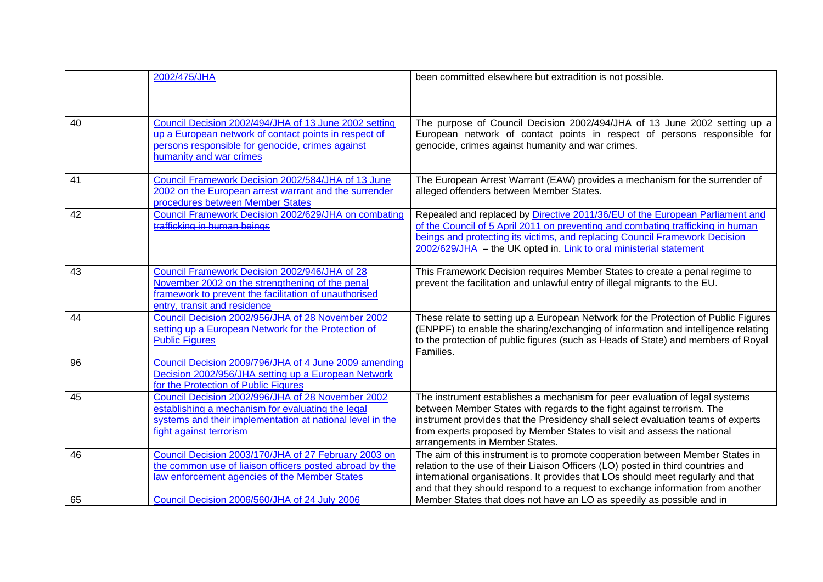|    | 2002/475/JHA                                                                                                                                                                                   | been committed elsewhere but extradition is not possible.                                                                                                                                                                                                                                                                                              |
|----|------------------------------------------------------------------------------------------------------------------------------------------------------------------------------------------------|--------------------------------------------------------------------------------------------------------------------------------------------------------------------------------------------------------------------------------------------------------------------------------------------------------------------------------------------------------|
| 40 | Council Decision 2002/494/JHA of 13 June 2002 setting<br>up a European network of contact points in respect of<br>persons responsible for genocide, crimes against<br>humanity and war crimes  | The purpose of Council Decision 2002/494/JHA of 13 June 2002 setting up a<br>European network of contact points in respect of persons responsible for<br>genocide, crimes against humanity and war crimes.                                                                                                                                             |
| 41 | Council Framework Decision 2002/584/JHA of 13 June<br>2002 on the European arrest warrant and the surrender<br>procedures between Member States                                                | The European Arrest Warrant (EAW) provides a mechanism for the surrender of<br>alleged offenders between Member States.                                                                                                                                                                                                                                |
| 42 | Council Framework Decision 2002/629/JHA on combatine<br>trafficking in human beings                                                                                                            | Repealed and replaced by Directive 2011/36/EU of the European Parliament and<br>of the Council of 5 April 2011 on preventing and combating trafficking in human<br>beings and protecting its victims, and replacing Council Framework Decision<br>2002/629/JHA - the UK opted in. Link to oral ministerial statement                                   |
| 43 | Council Framework Decision 2002/946/JHA of 28<br>November 2002 on the strengthening of the penal<br>framework to prevent the facilitation of unauthorised<br>entry, transit and residence      | This Framework Decision requires Member States to create a penal regime to<br>prevent the facilitation and unlawful entry of illegal migrants to the EU.                                                                                                                                                                                               |
| 44 | Council Decision 2002/956/JHA of 28 November 2002<br>setting up a European Network for the Protection of<br><b>Public Figures</b>                                                              | These relate to setting up a European Network for the Protection of Public Figures<br>(ENPPF) to enable the sharing/exchanging of information and intelligence relating<br>to the protection of public figures (such as Heads of State) and members of Royal<br>Families.                                                                              |
| 96 | Council Decision 2009/796/JHA of 4 June 2009 amending<br>Decision 2002/956/JHA setting up a European Network<br>for the Protection of Public Figures                                           |                                                                                                                                                                                                                                                                                                                                                        |
| 45 | Council Decision 2002/996/JHA of 28 November 2002<br>establishing a mechanism for evaluating the legal<br>systems and their implementation at national level in the<br>fight against terrorism | The instrument establishes a mechanism for peer evaluation of legal systems<br>between Member States with regards to the fight against terrorism. The<br>instrument provides that the Presidency shall select evaluation teams of experts<br>from experts proposed by Member States to visit and assess the national<br>arrangements in Member States. |
| 46 | Council Decision 2003/170/JHA of 27 February 2003 on<br>the common use of liaison officers posted abroad by the<br>law enforcement agencies of the Member States                               | The aim of this instrument is to promote cooperation between Member States in<br>relation to the use of their Liaison Officers (LO) posted in third countries and<br>international organisations. It provides that LOs should meet regularly and that<br>and that they should respond to a request to exchange information from another                |
| 65 | Council Decision 2006/560/JHA of 24 July 2006                                                                                                                                                  | Member States that does not have an LO as speedily as possible and in                                                                                                                                                                                                                                                                                  |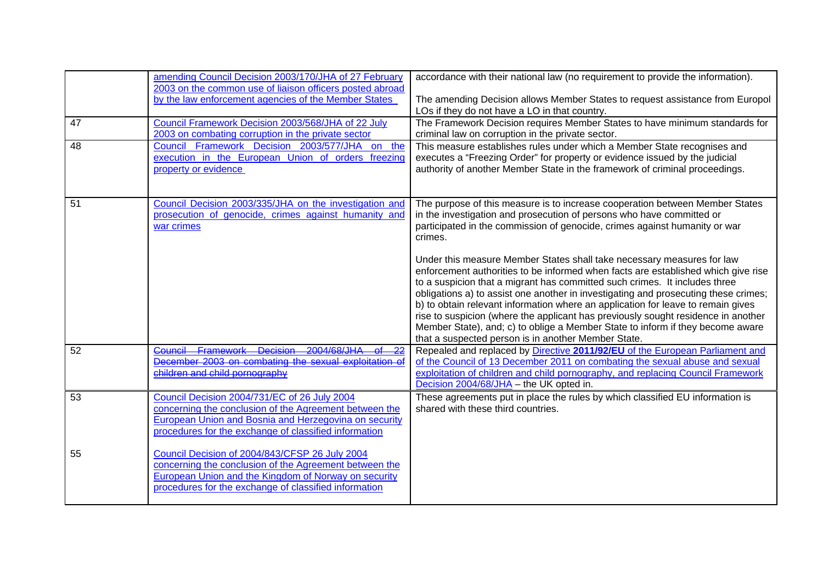|    | amending Council Decision 2003/170/JHA of 27 February<br>2003 on the common use of liaison officers posted abroad                                                                                                         | accordance with their national law (no requirement to provide the information).                                                                                                                                                                                                                                                                                                                                                                                                                                                                                                                                                                    |
|----|---------------------------------------------------------------------------------------------------------------------------------------------------------------------------------------------------------------------------|----------------------------------------------------------------------------------------------------------------------------------------------------------------------------------------------------------------------------------------------------------------------------------------------------------------------------------------------------------------------------------------------------------------------------------------------------------------------------------------------------------------------------------------------------------------------------------------------------------------------------------------------------|
|    | by the law enforcement agencies of the Member States                                                                                                                                                                      | The amending Decision allows Member States to request assistance from Europol<br>LOs if they do not have a LO in that country.                                                                                                                                                                                                                                                                                                                                                                                                                                                                                                                     |
| 47 | Council Framework Decision 2003/568/JHA of 22 July<br>2003 on combating corruption in the private sector                                                                                                                  | The Framework Decision requires Member States to have minimum standards for<br>criminal law on corruption in the private sector.                                                                                                                                                                                                                                                                                                                                                                                                                                                                                                                   |
| 48 | Council Framework Decision 2003/577/JHA on the<br>execution in the European Union of orders freezing<br>property or evidence                                                                                              | This measure establishes rules under which a Member State recognises and<br>executes a "Freezing Order" for property or evidence issued by the judicial<br>authority of another Member State in the framework of criminal proceedings.                                                                                                                                                                                                                                                                                                                                                                                                             |
| 51 | Council Decision 2003/335/JHA on the investigation and<br>prosecution of genocide, crimes against humanity and<br>war crimes                                                                                              | The purpose of this measure is to increase cooperation between Member States<br>in the investigation and prosecution of persons who have committed or<br>participated in the commission of genocide, crimes against humanity or war<br>crimes.                                                                                                                                                                                                                                                                                                                                                                                                     |
|    |                                                                                                                                                                                                                           | Under this measure Member States shall take necessary measures for law<br>enforcement authorities to be informed when facts are established which give rise<br>to a suspicion that a migrant has committed such crimes. It includes three<br>obligations a) to assist one another in investigating and prosecuting these crimes;<br>b) to obtain relevant information where an application for leave to remain gives<br>rise to suspicion (where the applicant has previously sought residence in another<br>Member State), and; c) to oblige a Member State to inform if they become aware<br>that a suspected person is in another Member State. |
| 52 | <b>Framework Decision</b><br>2004/68/JHA<br><b>Council</b><br>December 2003 on combating the sexual exploitation of<br>children and child pornography                                                                     | Repealed and replaced by Directive 2011/92/EU of the European Parliament and<br>of the Council of 13 December 2011 on combating the sexual abuse and sexual<br>exploitation of children and child pornography, and replacing Council Framework<br>Decision 2004/68/JHA - the UK opted in.                                                                                                                                                                                                                                                                                                                                                          |
| 53 | Council Decision 2004/731/EC of 26 July 2004<br>concerning the conclusion of the Agreement between the<br>European Union and Bosnia and Herzegovina on security<br>procedures for the exchange of classified information  | These agreements put in place the rules by which classified EU information is<br>shared with these third countries.                                                                                                                                                                                                                                                                                                                                                                                                                                                                                                                                |
| 55 | Council Decision of 2004/843/CFSP 26 July 2004<br>concerning the conclusion of the Agreement between the<br>European Union and the Kingdom of Norway on security<br>procedures for the exchange of classified information |                                                                                                                                                                                                                                                                                                                                                                                                                                                                                                                                                                                                                                                    |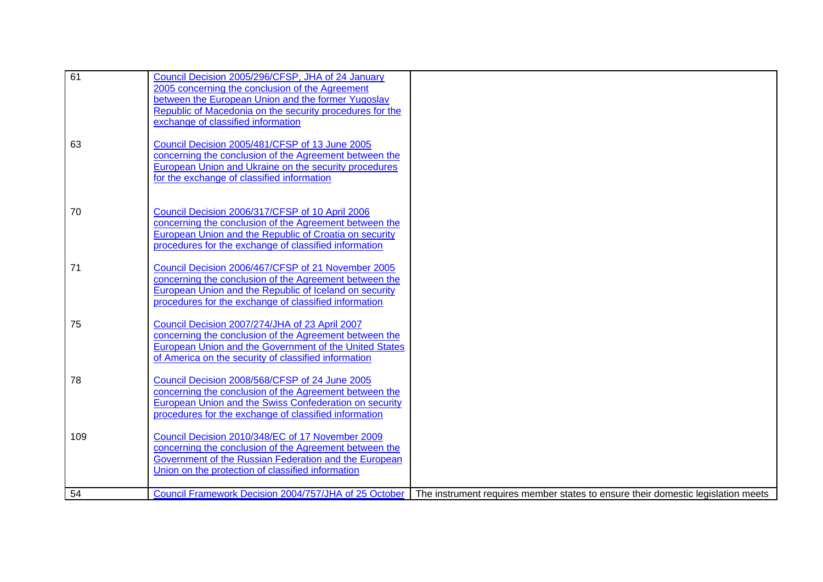| 61  | Council Decision 2005/296/CFSP, JHA of 24 January<br>2005 concerning the conclusion of the Agreement<br>between the European Union and the former Yugoslav<br>Republic of Macedonia on the security procedures for the<br>exchange of classified information |                                                                                  |
|-----|--------------------------------------------------------------------------------------------------------------------------------------------------------------------------------------------------------------------------------------------------------------|----------------------------------------------------------------------------------|
| 63  | Council Decision 2005/481/CFSP of 13 June 2005<br>concerning the conclusion of the Agreement between the<br>European Union and Ukraine on the security procedures<br>for the exchange of classified information                                              |                                                                                  |
| 70  | Council Decision 2006/317/CFSP of 10 April 2006<br>concerning the conclusion of the Agreement between the<br>European Union and the Republic of Croatia on security<br>procedures for the exchange of classified information                                 |                                                                                  |
| 71  | Council Decision 2006/467/CFSP of 21 November 2005<br>concerning the conclusion of the Agreement between the<br>European Union and the Republic of Iceland on security<br>procedures for the exchange of classified information                              |                                                                                  |
| 75  | Council Decision 2007/274/JHA of 23 April 2007<br>concerning the conclusion of the Agreement between the<br>European Union and the Government of the United States<br>of America on the security of classified information                                   |                                                                                  |
| 78  | Council Decision 2008/568/CFSP of 24 June 2005<br>concerning the conclusion of the Agreement between the<br>European Union and the Swiss Confederation on security<br>procedures for the exchange of classified information                                  |                                                                                  |
| 109 | Council Decision 2010/348/EC of 17 November 2009<br>concerning the conclusion of the Agreement between the<br>Government of the Russian Federation and the European<br>Union on the protection of classified information                                     |                                                                                  |
| 54  | Council Framework Decision 2004/757/JHA of 25 October                                                                                                                                                                                                        | The instrument requires member states to ensure their domestic legislation meets |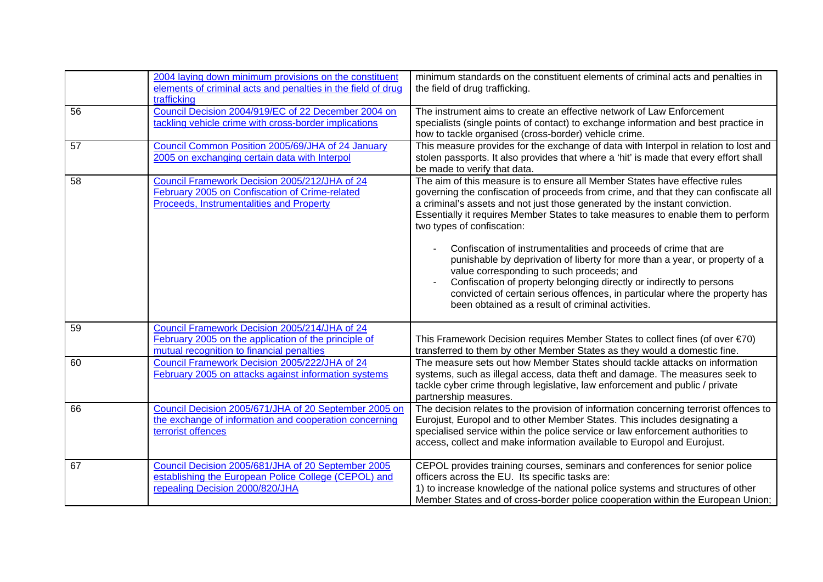|    | 2004 laying down minimum provisions on the constituent<br>elements of criminal acts and penalties in the field of drug<br>trafficking              | minimum standards on the constituent elements of criminal acts and penalties in<br>the field of drug trafficking.                                                                                                                                                                                                                                                                                        |
|----|----------------------------------------------------------------------------------------------------------------------------------------------------|----------------------------------------------------------------------------------------------------------------------------------------------------------------------------------------------------------------------------------------------------------------------------------------------------------------------------------------------------------------------------------------------------------|
| 56 | Council Decision 2004/919/EC of 22 December 2004 on<br>tackling vehicle crime with cross-border implications                                       | The instrument aims to create an effective network of Law Enforcement<br>specialists (single points of contact) to exchange information and best practice in<br>how to tackle organised (cross-border) vehicle crime.                                                                                                                                                                                    |
| 57 | Council Common Position 2005/69/JHA of 24 January<br>2005 on exchanging certain data with Interpol                                                 | This measure provides for the exchange of data with Interpol in relation to lost and<br>stolen passports. It also provides that where a 'hit' is made that every effort shall<br>be made to verify that data.                                                                                                                                                                                            |
| 58 | Council Framework Decision 2005/212/JHA of 24<br>February 2005 on Confiscation of Crime-related<br>Proceeds, Instrumentalities and Property        | The aim of this measure is to ensure all Member States have effective rules<br>governing the confiscation of proceeds from crime, and that they can confiscate all<br>a criminal's assets and not just those generated by the instant conviction.<br>Essentially it requires Member States to take measures to enable them to perform<br>two types of confiscation:                                      |
|    |                                                                                                                                                    | Confiscation of instrumentalities and proceeds of crime that are<br>punishable by deprivation of liberty for more than a year, or property of a<br>value corresponding to such proceeds; and<br>Confiscation of property belonging directly or indirectly to persons<br>convicted of certain serious offences, in particular where the property has<br>been obtained as a result of criminal activities. |
| 59 | Council Framework Decision 2005/214/JHA of 24<br>February 2005 on the application of the principle of<br>mutual recognition to financial penalties | This Framework Decision requires Member States to collect fines (of over $\epsilon$ 70)<br>transferred to them by other Member States as they would a domestic fine.                                                                                                                                                                                                                                     |
| 60 | Council Framework Decision 2005/222/JHA of 24<br>February 2005 on attacks against information systems                                              | The measure sets out how Member States should tackle attacks on information<br>systems, such as illegal access, data theft and damage. The measures seek to<br>tackle cyber crime through legislative, law enforcement and public / private<br>partnership measures.                                                                                                                                     |
| 66 | Council Decision 2005/671/JHA of 20 September 2005 on<br>the exchange of information and cooperation concerning<br>terrorist offences              | The decision relates to the provision of information concerning terrorist offences to<br>Eurojust, Europol and to other Member States. This includes designating a<br>specialised service within the police service or law enforcement authorities to<br>access, collect and make information available to Europol and Eurojust.                                                                         |
| 67 | Council Decision 2005/681/JHA of 20 September 2005<br>establishing the European Police College (CEPOL) and<br>repealing Decision 2000/820/JHA      | CEPOL provides training courses, seminars and conferences for senior police<br>officers across the EU. Its specific tasks are:<br>1) to increase knowledge of the national police systems and structures of other<br>Member States and of cross-border police cooperation within the European Union;                                                                                                     |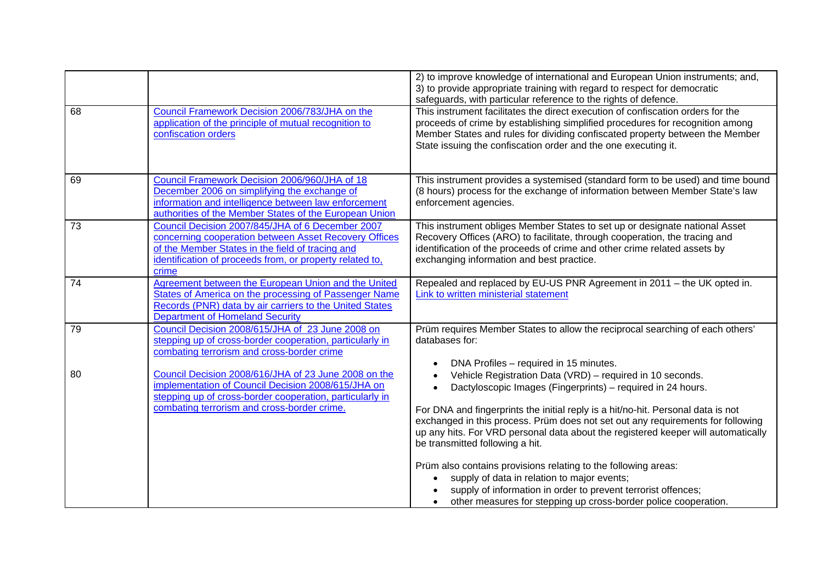|    |                                                                                                                                                                                                                                    | 2) to improve knowledge of international and European Union instruments; and,<br>3) to provide appropriate training with regard to respect for democratic<br>safeguards, with particular reference to the rights of defence.                                                                                                                                                                                                                                      |
|----|------------------------------------------------------------------------------------------------------------------------------------------------------------------------------------------------------------------------------------|-------------------------------------------------------------------------------------------------------------------------------------------------------------------------------------------------------------------------------------------------------------------------------------------------------------------------------------------------------------------------------------------------------------------------------------------------------------------|
| 68 | Council Framework Decision 2006/783/JHA on the<br>application of the principle of mutual recognition to<br>confiscation orders                                                                                                     | This instrument facilitates the direct execution of confiscation orders for the<br>proceeds of crime by establishing simplified procedures for recognition among<br>Member States and rules for dividing confiscated property between the Member<br>State issuing the confiscation order and the one executing it.                                                                                                                                                |
| 69 | Council Framework Decision 2006/960/JHA of 18<br>December 2006 on simplifying the exchange of<br>information and intelligence between law enforcement<br>authorities of the Member States of the European Union                    | This instrument provides a systemised (standard form to be used) and time bound<br>(8 hours) process for the exchange of information between Member State's law<br>enforcement agencies.                                                                                                                                                                                                                                                                          |
| 73 | Council Decision 2007/845/JHA of 6 December 2007<br>concerning cooperation between Asset Recovery Offices<br>of the Member States in the field of tracing and<br>identification of proceeds from, or property related to,<br>crime | This instrument obliges Member States to set up or designate national Asset<br>Recovery Offices (ARO) to facilitate, through cooperation, the tracing and<br>identification of the proceeds of crime and other crime related assets by<br>exchanging information and best practice.                                                                                                                                                                               |
| 74 | Agreement between the European Union and the United<br>States of America on the processing of Passenger Name<br>Records (PNR) data by air carriers to the United States<br><b>Department of Homeland Security</b>                  | Repealed and replaced by EU-US PNR Agreement in 2011 - the UK opted in.<br>Link to written ministerial statement                                                                                                                                                                                                                                                                                                                                                  |
| 79 | Council Decision 2008/615/JHA of 23 June 2008 on<br>stepping up of cross-border cooperation, particularly in<br>combating terrorism and cross-border crime                                                                         | Prüm requires Member States to allow the reciprocal searching of each others'<br>databases for:                                                                                                                                                                                                                                                                                                                                                                   |
| 80 | Council Decision 2008/616/JHA of 23 June 2008 on the<br>implementation of Council Decision 2008/615/JHA on<br>stepping up of cross-border cooperation, particularly in<br>combating terrorism and cross-border crime.              | DNA Profiles - required in 15 minutes.<br>Vehicle Registration Data (VRD) - required in 10 seconds.<br>Dactyloscopic Images (Fingerprints) – required in 24 hours.<br>For DNA and fingerprints the initial reply is a hit/no-hit. Personal data is not<br>exchanged in this process. Prüm does not set out any requirements for following<br>up any hits. For VRD personal data about the registered keeper will automatically<br>be transmitted following a hit. |
|    |                                                                                                                                                                                                                                    | Prüm also contains provisions relating to the following areas:<br>supply of data in relation to major events;<br>supply of information in order to prevent terrorist offences;<br>other measures for stepping up cross-border police cooperation.                                                                                                                                                                                                                 |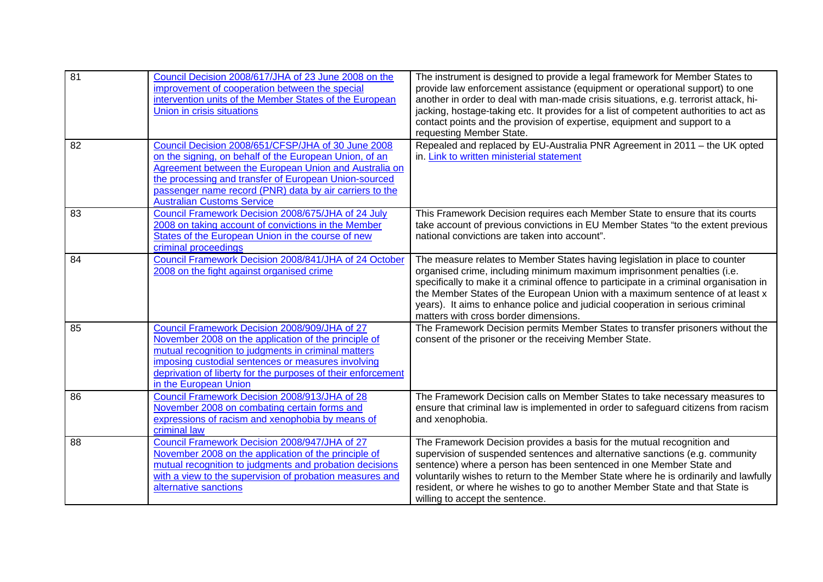| 81 | Council Decision 2008/617/JHA of 23 June 2008 on the<br>improvement of cooperation between the special<br>intervention units of the Member States of the European<br>Union in crisis situations                                                                                                                                | The instrument is designed to provide a legal framework for Member States to<br>provide law enforcement assistance (equipment or operational support) to one<br>another in order to deal with man-made crisis situations, e.g. terrorist attack, hi-<br>jacking, hostage-taking etc. It provides for a list of competent authorities to act as<br>contact points and the provision of expertise, equipment and support to a<br>requesting Member State.       |
|----|--------------------------------------------------------------------------------------------------------------------------------------------------------------------------------------------------------------------------------------------------------------------------------------------------------------------------------|---------------------------------------------------------------------------------------------------------------------------------------------------------------------------------------------------------------------------------------------------------------------------------------------------------------------------------------------------------------------------------------------------------------------------------------------------------------|
| 82 | Council Decision 2008/651/CFSP/JHA of 30 June 2008<br>on the signing, on behalf of the European Union, of an<br>Agreement between the European Union and Australia on<br>the processing and transfer of European Union-sourced<br>passenger name record (PNR) data by air carriers to the<br><b>Australian Customs Service</b> | Repealed and replaced by EU-Australia PNR Agreement in 2011 - the UK opted<br>in. Link to written ministerial statement                                                                                                                                                                                                                                                                                                                                       |
| 83 | Council Framework Decision 2008/675/JHA of 24 July<br>2008 on taking account of convictions in the Member<br>States of the European Union in the course of new<br>criminal proceedings                                                                                                                                         | This Framework Decision requires each Member State to ensure that its courts<br>take account of previous convictions in EU Member States "to the extent previous<br>national convictions are taken into account".                                                                                                                                                                                                                                             |
| 84 | Council Framework Decision 2008/841/JHA of 24 October<br>2008 on the fight against organised crime                                                                                                                                                                                                                             | The measure relates to Member States having legislation in place to counter<br>organised crime, including minimum maximum imprisonment penalties (i.e.<br>specifically to make it a criminal offence to participate in a criminal organisation in<br>the Member States of the European Union with a maximum sentence of at least x<br>years). It aims to enhance police and judicial cooperation in serious criminal<br>matters with cross border dimensions. |
| 85 | Council Framework Decision 2008/909/JHA of 27<br>November 2008 on the application of the principle of<br>mutual recognition to judgments in criminal matters<br>imposing custodial sentences or measures involving<br>deprivation of liberty for the purposes of their enforcement<br>in the European Union                    | The Framework Decision permits Member States to transfer prisoners without the<br>consent of the prisoner or the receiving Member State.                                                                                                                                                                                                                                                                                                                      |
| 86 | Council Framework Decision 2008/913/JHA of 28<br>November 2008 on combating certain forms and<br>expressions of racism and xenophobia by means of<br>criminal law                                                                                                                                                              | The Framework Decision calls on Member States to take necessary measures to<br>ensure that criminal law is implemented in order to safeguard citizens from racism<br>and xenophobia.                                                                                                                                                                                                                                                                          |
| 88 | Council Framework Decision 2008/947/JHA of 27<br>November 2008 on the application of the principle of<br>mutual recognition to judgments and probation decisions<br>with a view to the supervision of probation measures and<br>alternative sanctions                                                                          | The Framework Decision provides a basis for the mutual recognition and<br>supervision of suspended sentences and alternative sanctions (e.g. community<br>sentence) where a person has been sentenced in one Member State and<br>voluntarily wishes to return to the Member State where he is ordinarily and lawfully<br>resident, or where he wishes to go to another Member State and that State is<br>willing to accept the sentence.                      |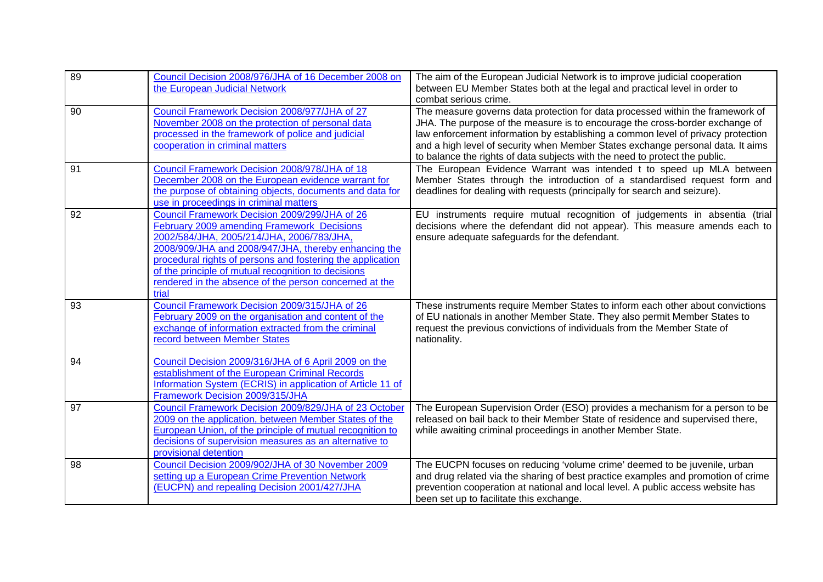| 89 | Council Decision 2008/976/JHA of 16 December 2008 on<br>the European Judicial Network                                                                                                                                                                                                                                                                                                    | The aim of the European Judicial Network is to improve judicial cooperation<br>between EU Member States both at the legal and practical level in order to<br>combat serious crime.                                                                                                                                                                                                                                   |
|----|------------------------------------------------------------------------------------------------------------------------------------------------------------------------------------------------------------------------------------------------------------------------------------------------------------------------------------------------------------------------------------------|----------------------------------------------------------------------------------------------------------------------------------------------------------------------------------------------------------------------------------------------------------------------------------------------------------------------------------------------------------------------------------------------------------------------|
| 90 | Council Framework Decision 2008/977/JHA of 27<br>November 2008 on the protection of personal data<br>processed in the framework of police and judicial<br>cooperation in criminal matters                                                                                                                                                                                                | The measure governs data protection for data processed within the framework of<br>JHA. The purpose of the measure is to encourage the cross-border exchange of<br>law enforcement information by establishing a common level of privacy protection<br>and a high level of security when Member States exchange personal data. It aims<br>to balance the rights of data subjects with the need to protect the public. |
| 91 | Council Framework Decision 2008/978/JHA of 18<br>December 2008 on the European evidence warrant for<br>the purpose of obtaining objects, documents and data for<br>use in proceedings in criminal matters                                                                                                                                                                                | The European Evidence Warrant was intended t to speed up MLA between<br>Member States through the introduction of a standardised request form and<br>deadlines for dealing with requests (principally for search and seizure).                                                                                                                                                                                       |
| 92 | Council Framework Decision 2009/299/JHA of 26<br>February 2009 amending Framework Decisions<br>2002/584/JHA, 2005/214/JHA, 2006/783/JHA,<br>2008/909/JHA and 2008/947/JHA, thereby enhancing the<br>procedural rights of persons and fostering the application<br>of the principle of mutual recognition to decisions<br>rendered in the absence of the person concerned at the<br>trial | EU instruments require mutual recognition of judgements in absentia (trial<br>decisions where the defendant did not appear). This measure amends each to<br>ensure adequate safeguards for the defendant.                                                                                                                                                                                                            |
| 93 | Council Framework Decision 2009/315/JHA of 26<br>February 2009 on the organisation and content of the<br>exchange of information extracted from the criminal<br>record between Member States                                                                                                                                                                                             | These instruments require Member States to inform each other about convictions<br>of EU nationals in another Member State. They also permit Member States to<br>request the previous convictions of individuals from the Member State of<br>nationality.                                                                                                                                                             |
| 94 | Council Decision 2009/316/JHA of 6 April 2009 on the<br>establishment of the European Criminal Records<br>Information System (ECRIS) in application of Article 11 of<br>Framework Decision 2009/315/JHA                                                                                                                                                                                  |                                                                                                                                                                                                                                                                                                                                                                                                                      |
| 97 | Council Framework Decision 2009/829/JHA of 23 October<br>2009 on the application, between Member States of the<br>European Union, of the principle of mutual recognition to<br>decisions of supervision measures as an alternative to<br>provisional detention                                                                                                                           | The European Supervision Order (ESO) provides a mechanism for a person to be<br>released on bail back to their Member State of residence and supervised there,<br>while awaiting criminal proceedings in another Member State.                                                                                                                                                                                       |
| 98 | Council Decision 2009/902/JHA of 30 November 2009<br>setting up a European Crime Prevention Network<br>(EUCPN) and repealing Decision 2001/427/JHA                                                                                                                                                                                                                                       | The EUCPN focuses on reducing 'volume crime' deemed to be juvenile, urban<br>and drug related via the sharing of best practice examples and promotion of crime<br>prevention cooperation at national and local level. A public access website has<br>been set up to facilitate this exchange.                                                                                                                        |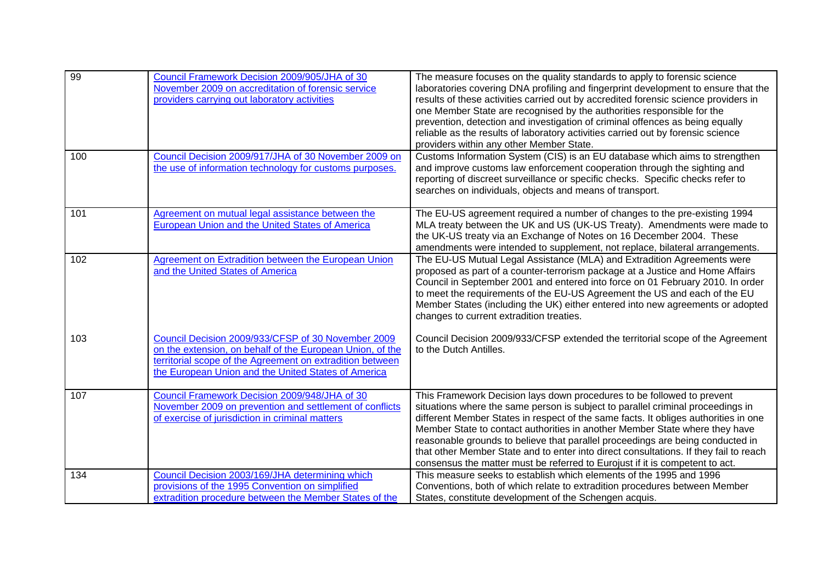| 99  | Council Framework Decision 2009/905/JHA of 30<br>November 2009 on accreditation of forensic service<br>providers carrying out laboratory activities                                                                                 | The measure focuses on the quality standards to apply to forensic science<br>laboratories covering DNA profiling and fingerprint development to ensure that the<br>results of these activities carried out by accredited forensic science providers in<br>one Member State are recognised by the authorities responsible for the<br>prevention, detection and investigation of criminal offences as being equally<br>reliable as the results of laboratory activities carried out by forensic science<br>providers within any other Member State.                                          |
|-----|-------------------------------------------------------------------------------------------------------------------------------------------------------------------------------------------------------------------------------------|--------------------------------------------------------------------------------------------------------------------------------------------------------------------------------------------------------------------------------------------------------------------------------------------------------------------------------------------------------------------------------------------------------------------------------------------------------------------------------------------------------------------------------------------------------------------------------------------|
| 100 | Council Decision 2009/917/JHA of 30 November 2009 on<br>the use of information technology for customs purposes.                                                                                                                     | Customs Information System (CIS) is an EU database which aims to strengthen<br>and improve customs law enforcement cooperation through the sighting and<br>reporting of discreet surveillance or specific checks. Specific checks refer to<br>searches on individuals, objects and means of transport.                                                                                                                                                                                                                                                                                     |
| 101 | Agreement on mutual legal assistance between the<br>European Union and the United States of America                                                                                                                                 | The EU-US agreement required a number of changes to the pre-existing 1994<br>MLA treaty between the UK and US (UK-US Treaty). Amendments were made to<br>the UK-US treaty via an Exchange of Notes on 16 December 2004. These<br>amendments were intended to supplement, not replace, bilateral arrangements.                                                                                                                                                                                                                                                                              |
| 102 | Agreement on Extradition between the European Union<br>and the United States of America                                                                                                                                             | The EU-US Mutual Legal Assistance (MLA) and Extradition Agreements were<br>proposed as part of a counter-terrorism package at a Justice and Home Affairs<br>Council in September 2001 and entered into force on 01 February 2010. In order<br>to meet the requirements of the EU-US Agreement the US and each of the EU<br>Member States (including the UK) either entered into new agreements or adopted<br>changes to current extradition treaties.                                                                                                                                      |
| 103 | Council Decision 2009/933/CFSP of 30 November 2009<br>on the extension, on behalf of the European Union, of the<br>territorial scope of the Agreement on extradition between<br>the European Union and the United States of America | Council Decision 2009/933/CFSP extended the territorial scope of the Agreement<br>to the Dutch Antilles.                                                                                                                                                                                                                                                                                                                                                                                                                                                                                   |
| 107 | Council Framework Decision 2009/948/JHA of 30<br>November 2009 on prevention and settlement of conflicts<br>of exercise of jurisdiction in criminal matters                                                                         | This Framework Decision lays down procedures to be followed to prevent<br>situations where the same person is subject to parallel criminal proceedings in<br>different Member States in respect of the same facts. It obliges authorities in one<br>Member State to contact authorities in another Member State where they have<br>reasonable grounds to believe that parallel proceedings are being conducted in<br>that other Member State and to enter into direct consultations. If they fail to reach<br>consensus the matter must be referred to Eurojust if it is competent to act. |
| 134 | Council Decision 2003/169/JHA determining which<br>provisions of the 1995 Convention on simplified<br>extradition procedure between the Member States of the                                                                        | This measure seeks to establish which elements of the 1995 and 1996<br>Conventions, both of which relate to extradition procedures between Member<br>States, constitute development of the Schengen acquis.                                                                                                                                                                                                                                                                                                                                                                                |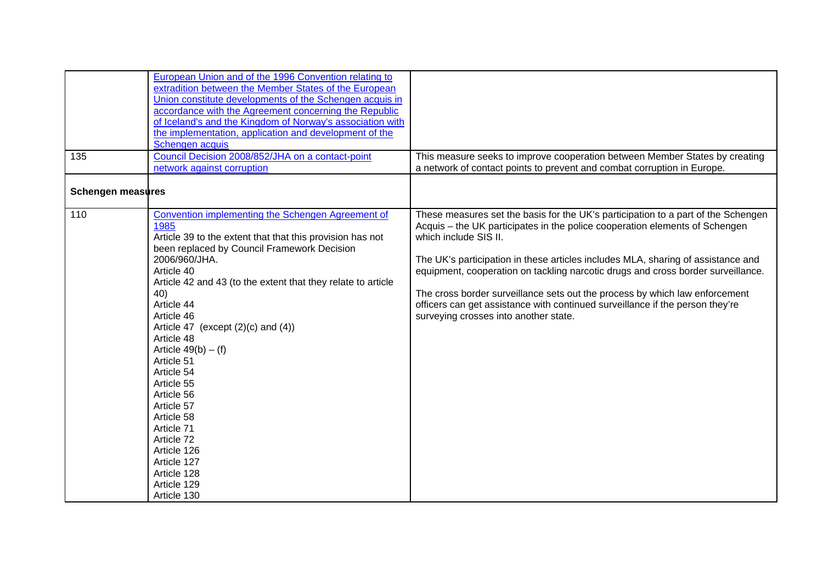| 135                      | European Union and of the 1996 Convention relating to<br>extradition between the Member States of the European<br>Union constitute developments of the Schengen acquis in<br>accordance with the Agreement concerning the Republic<br>of Iceland's and the Kingdom of Norway's association with<br>the implementation, application and development of the<br>Schengen acquis<br>Council Decision 2008/852/JHA on a contact-point                                                                                                                                                     | This measure seeks to improve cooperation between Member States by creating                                                                                                                                                                                                                                                                                                                                                                                                                                                                                                |
|--------------------------|--------------------------------------------------------------------------------------------------------------------------------------------------------------------------------------------------------------------------------------------------------------------------------------------------------------------------------------------------------------------------------------------------------------------------------------------------------------------------------------------------------------------------------------------------------------------------------------|----------------------------------------------------------------------------------------------------------------------------------------------------------------------------------------------------------------------------------------------------------------------------------------------------------------------------------------------------------------------------------------------------------------------------------------------------------------------------------------------------------------------------------------------------------------------------|
|                          | network against corruption                                                                                                                                                                                                                                                                                                                                                                                                                                                                                                                                                           | a network of contact points to prevent and combat corruption in Europe.                                                                                                                                                                                                                                                                                                                                                                                                                                                                                                    |
| <b>Schengen measures</b> |                                                                                                                                                                                                                                                                                                                                                                                                                                                                                                                                                                                      |                                                                                                                                                                                                                                                                                                                                                                                                                                                                                                                                                                            |
| 110                      | Convention implementing the Schengen Agreement of<br>1985<br>Article 39 to the extent that that this provision has not<br>been replaced by Council Framework Decision<br>2006/960/JHA.<br>Article 40<br>Article 42 and 43 (to the extent that they relate to article<br>40)<br>Article 44<br>Article 46<br>Article 47 (except $(2)(c)$ and $(4)$ )<br>Article 48<br>Article $49(b) - (f)$<br>Article 51<br>Article 54<br>Article 55<br>Article 56<br>Article 57<br>Article 58<br>Article 71<br>Article 72<br>Article 126<br>Article 127<br>Article 128<br>Article 129<br>Article 130 | These measures set the basis for the UK's participation to a part of the Schengen<br>Acquis - the UK participates in the police cooperation elements of Schengen<br>which include SIS II.<br>The UK's participation in these articles includes MLA, sharing of assistance and<br>equipment, cooperation on tackling narcotic drugs and cross border surveillance.<br>The cross border surveillance sets out the process by which law enforcement<br>officers can get assistance with continued surveillance if the person they're<br>surveying crosses into another state. |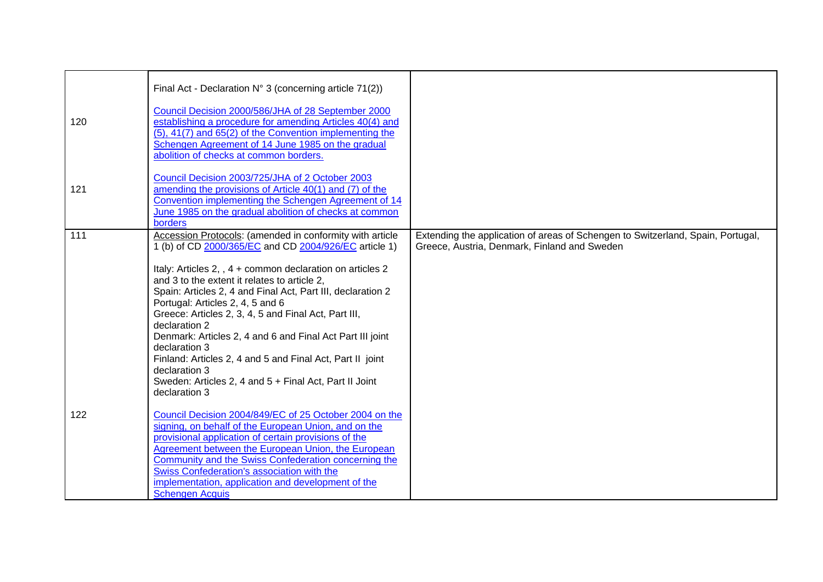| 120 | Final Act - Declaration N° 3 (concerning article 71(2))<br>Council Decision 2000/586/JHA of 28 September 2000<br>establishing a procedure for amending Articles 40(4) and<br>$(5)$ , 41(7) and 65(2) of the Convention implementing the<br>Schengen Agreement of 14 June 1985 on the gradual<br>abolition of checks at common borders.                                                                                                                                                                                                                                                                                                            |                                                                                                                                 |
|-----|---------------------------------------------------------------------------------------------------------------------------------------------------------------------------------------------------------------------------------------------------------------------------------------------------------------------------------------------------------------------------------------------------------------------------------------------------------------------------------------------------------------------------------------------------------------------------------------------------------------------------------------------------|---------------------------------------------------------------------------------------------------------------------------------|
| 121 | Council Decision 2003/725/JHA of 2 October 2003<br>amending the provisions of Article 40(1) and (7) of the<br>Convention implementing the Schengen Agreement of 14<br>June 1985 on the gradual abolition of checks at common<br>borders                                                                                                                                                                                                                                                                                                                                                                                                           |                                                                                                                                 |
| 111 | Accession Protocols: (amended in conformity with article<br>1 (b) of CD 2000/365/EC and CD 2004/926/EC article 1)<br>Italy: Articles 2, , 4 + common declaration on articles 2<br>and 3 to the extent it relates to article 2.<br>Spain: Articles 2, 4 and Final Act, Part III, declaration 2<br>Portugal: Articles 2, 4, 5 and 6<br>Greece: Articles 2, 3, 4, 5 and Final Act, Part III,<br>declaration 2<br>Denmark: Articles 2, 4 and 6 and Final Act Part III joint<br>declaration 3<br>Finland: Articles 2, 4 and 5 and Final Act, Part II joint<br>declaration 3<br>Sweden: Articles 2, 4 and 5 + Final Act, Part II Joint<br>declaration 3 | Extending the application of areas of Schengen to Switzerland, Spain, Portugal,<br>Greece, Austria, Denmark, Finland and Sweden |
| 122 | Council Decision 2004/849/EC of 25 October 2004 on the<br>signing, on behalf of the European Union, and on the<br>provisional application of certain provisions of the<br>Agreement between the European Union, the European<br>Community and the Swiss Confederation concerning the<br>Swiss Confederation's association with the<br>implementation, application and development of the<br><b>Schengen Acquis</b>                                                                                                                                                                                                                                |                                                                                                                                 |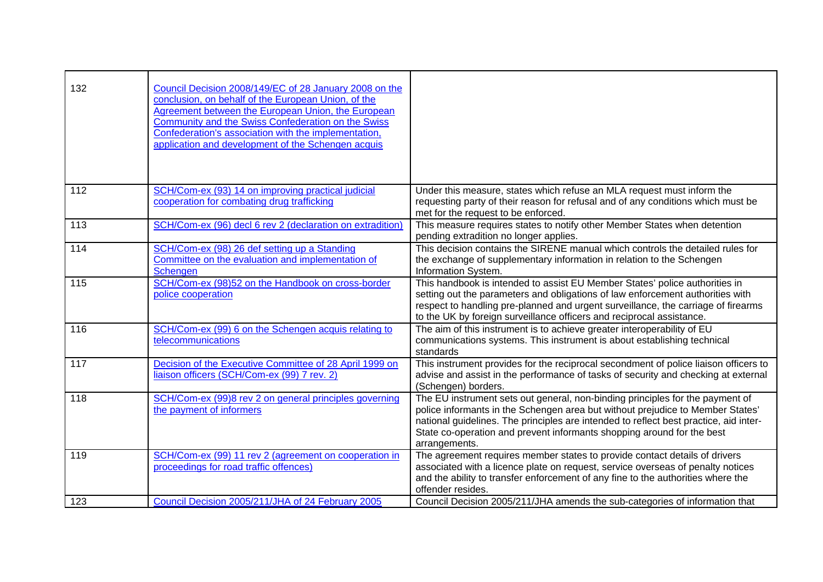| 132 | Council Decision 2008/149/EC of 28 January 2008 on the<br>conclusion, on behalf of the European Union, of the<br>Agreement between the European Union, the European<br>Community and the Swiss Confederation on the Swiss<br>Confederation's association with the implementation,<br>application and development of the Schengen acquis |                                                                                                                                                                                                                                                                                                                                                     |
|-----|-----------------------------------------------------------------------------------------------------------------------------------------------------------------------------------------------------------------------------------------------------------------------------------------------------------------------------------------|-----------------------------------------------------------------------------------------------------------------------------------------------------------------------------------------------------------------------------------------------------------------------------------------------------------------------------------------------------|
| 112 | SCH/Com-ex (93) 14 on improving practical judicial<br>cooperation for combating drug trafficking                                                                                                                                                                                                                                        | Under this measure, states which refuse an MLA request must inform the<br>requesting party of their reason for refusal and of any conditions which must be<br>met for the request to be enforced.                                                                                                                                                   |
| 113 | SCH/Com-ex (96) decl 6 rev 2 (declaration on extradition)                                                                                                                                                                                                                                                                               | This measure requires states to notify other Member States when detention<br>pending extradition no longer applies.                                                                                                                                                                                                                                 |
| 114 | SCH/Com-ex (98) 26 def setting up a Standing<br>Committee on the evaluation and implementation of<br><b>Schengen</b>                                                                                                                                                                                                                    | This decision contains the SIRENE manual which controls the detailed rules for<br>the exchange of supplementary information in relation to the Schengen<br>Information System.                                                                                                                                                                      |
| 115 | SCH/Com-ex (98)52 on the Handbook on cross-border<br>police cooperation                                                                                                                                                                                                                                                                 | This handbook is intended to assist EU Member States' police authorities in<br>setting out the parameters and obligations of law enforcement authorities with<br>respect to handling pre-planned and urgent surveillance, the carriage of firearms<br>to the UK by foreign surveillance officers and reciprocal assistance.                         |
| 116 | SCH/Com-ex (99) 6 on the Schengen acquis relating to<br>telecommunications                                                                                                                                                                                                                                                              | The aim of this instrument is to achieve greater interoperability of EU<br>communications systems. This instrument is about establishing technical<br>standards                                                                                                                                                                                     |
| 117 | Decision of the Executive Committee of 28 April 1999 on<br>liaison officers (SCH/Com-ex (99) 7 rev. 2)                                                                                                                                                                                                                                  | This instrument provides for the reciprocal secondment of police liaison officers to<br>advise and assist in the performance of tasks of security and checking at external<br>(Schengen) borders.                                                                                                                                                   |
| 118 | SCH/Com-ex (99)8 rev 2 on general principles governing<br>the payment of informers                                                                                                                                                                                                                                                      | The EU instrument sets out general, non-binding principles for the payment of<br>police informants in the Schengen area but without prejudice to Member States'<br>national guidelines. The principles are intended to reflect best practice, aid inter-<br>State co-operation and prevent informants shopping around for the best<br>arrangements. |
| 119 | SCH/Com-ex (99) 11 rev 2 (agreement on cooperation in<br>proceedings for road traffic offences)                                                                                                                                                                                                                                         | The agreement requires member states to provide contact details of drivers<br>associated with a licence plate on request, service overseas of penalty notices<br>and the ability to transfer enforcement of any fine to the authorities where the<br>offender resides.                                                                              |
| 123 | Council Decision 2005/211/JHA of 24 February 2005                                                                                                                                                                                                                                                                                       | Council Decision 2005/211/JHA amends the sub-categories of information that                                                                                                                                                                                                                                                                         |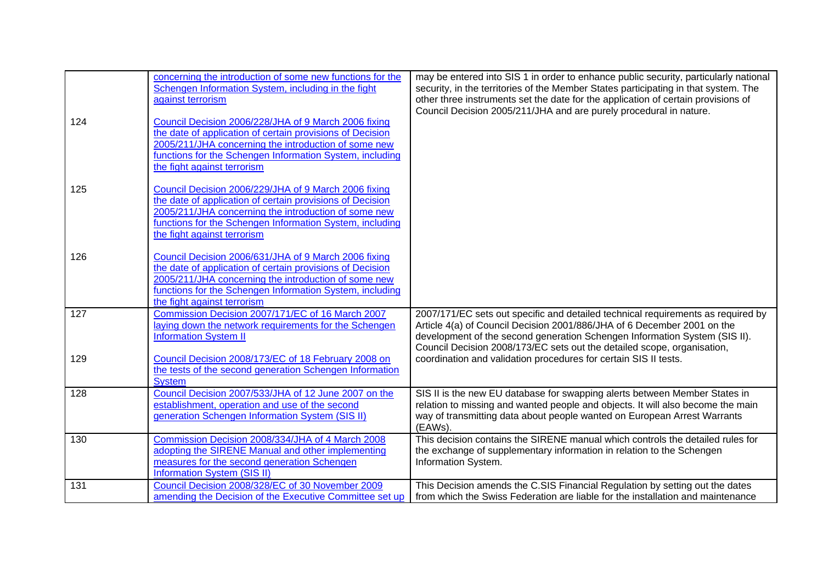| 124 | concerning the introduction of some new functions for the<br>Schengen Information System, including in the fight<br>against terrorism<br>Council Decision 2006/228/JHA of 9 March 2006 fixing<br>the date of application of certain provisions of Decision           | may be entered into SIS 1 in order to enhance public security, particularly national<br>security, in the territories of the Member States participating in that system. The<br>other three instruments set the date for the application of certain provisions of<br>Council Decision 2005/211/JHA and are purely procedural in nature. |
|-----|----------------------------------------------------------------------------------------------------------------------------------------------------------------------------------------------------------------------------------------------------------------------|----------------------------------------------------------------------------------------------------------------------------------------------------------------------------------------------------------------------------------------------------------------------------------------------------------------------------------------|
|     | 2005/211/JHA concerning the introduction of some new<br>functions for the Schengen Information System, including<br>the fight against terrorism                                                                                                                      |                                                                                                                                                                                                                                                                                                                                        |
| 125 | Council Decision 2006/229/JHA of 9 March 2006 fixing<br>the date of application of certain provisions of Decision<br>2005/211/JHA concerning the introduction of some new<br>functions for the Schengen Information System, including<br>the fight against terrorism |                                                                                                                                                                                                                                                                                                                                        |
| 126 | Council Decision 2006/631/JHA of 9 March 2006 fixing<br>the date of application of certain provisions of Decision<br>2005/211/JHA concerning the introduction of some new<br>functions for the Schengen Information System, including<br>the fight against terrorism |                                                                                                                                                                                                                                                                                                                                        |
| 127 | Commission Decision 2007/171/EC of 16 March 2007<br>laying down the network requirements for the Schengen<br><b>Information System II</b>                                                                                                                            | 2007/171/EC sets out specific and detailed technical requirements as required by<br>Article 4(a) of Council Decision 2001/886/JHA of 6 December 2001 on the<br>development of the second generation Schengen Information System (SIS II).<br>Council Decision 2008/173/EC sets out the detailed scope, organisation,                   |
| 129 | Council Decision 2008/173/EC of 18 February 2008 on<br>the tests of the second generation Schengen Information<br><b>System</b>                                                                                                                                      | coordination and validation procedures for certain SIS II tests.                                                                                                                                                                                                                                                                       |
| 128 | Council Decision 2007/533/JHA of 12 June 2007 on the<br>establishment, operation and use of the second<br>generation Schengen Information System (SIS II)                                                                                                            | SIS II is the new EU database for swapping alerts between Member States in<br>relation to missing and wanted people and objects. It will also become the main<br>way of transmitting data about people wanted on European Arrest Warrants<br>(EAWs).                                                                                   |
| 130 | Commission Decision 2008/334/JHA of 4 March 2008<br>adopting the SIRENE Manual and other implementing<br>measures for the second generation Schengen<br><b>Information System (SIS II)</b>                                                                           | This decision contains the SIRENE manual which controls the detailed rules for<br>the exchange of supplementary information in relation to the Schengen<br>Information System.                                                                                                                                                         |
| 131 | Council Decision 2008/328/EC of 30 November 2009<br>amending the Decision of the Executive Committee set up                                                                                                                                                          | This Decision amends the C.SIS Financial Regulation by setting out the dates<br>from which the Swiss Federation are liable for the installation and maintenance                                                                                                                                                                        |